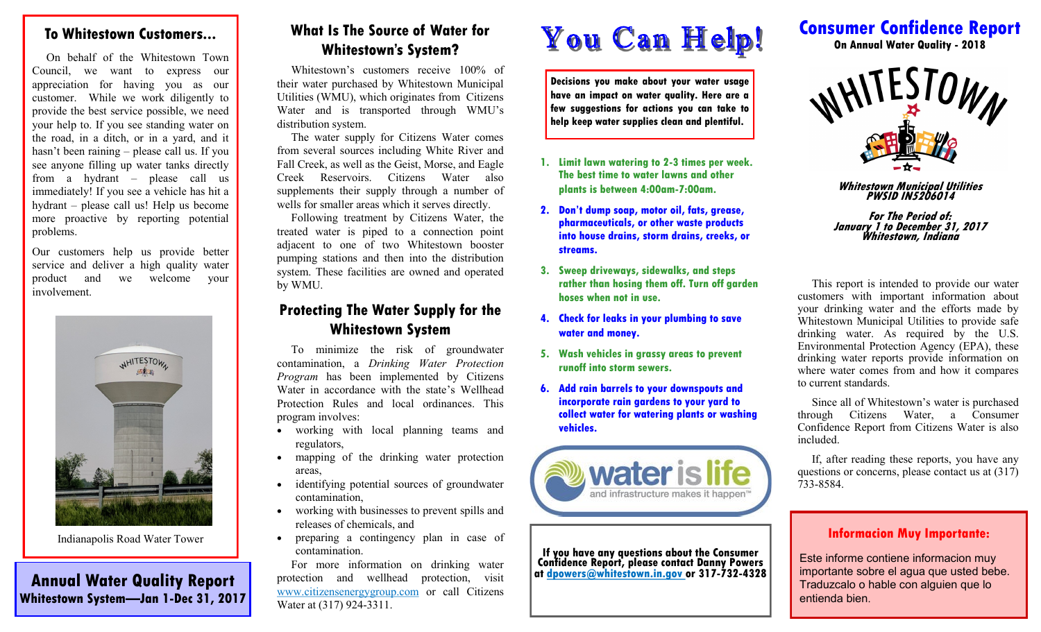#### **To Whitestown Customers...**

 On behalf of the Whitestown Town Council, we want to express our appreciation for having you as our customer. While we work diligently to provide the best service possible, we need your help to. If you see standing water on the road, in a ditch, or in a yard, and it hasn't been raining – please call us. If you see anyone filling up water tanks directly from a hydrant – please call us immediately! If you see a vehicle has hit a hydrant – please call us! Help us become more proactive by reporting potential problems.

Our customers help us provide better service and deliver a high quality water product and we welcome your involvement.



Indianapolis Road Water Tower

**Annual Water Quality Report Whitestown System—Jan 1-Dec 31, 2017**

## **What Is The Source of Water for Whitestown's System?**

 Whitestown's customers receive 100% of their water purchased by Whitestown Municipal Utilities (WMU), which originates from Citizens Water and is transported through WMU's distribution system.

 The water supply for Citizens Water comes from several sources including White River and Fall Creek, as well as the Geist, Morse, and Eagle Creek Reservoirs. Citizens Water also supplements their supply through a number of wells for smaller areas which it serves directly.

 Following treatment by Citizens Water, the treated water is piped to a connection point adjacent to one of two Whitestown booster pumping stations and then into the distribution system. These facilities are owned and operated by WMU.

## **Protecting The Water Supply for the Whitestown System**

 To minimize the risk of groundwater contamination, a *Drinking Water Protection Program* has been implemented by Citizens Water in accordance with the state's Wellhead Protection Rules and local ordinances. This program involves:

- working with local planning teams and regulators,
- mapping of the drinking water protection areas,
- identifying potential sources of groundwater contamination,
- working with businesses to prevent spills and releases of chemicals, and
- preparing a contingency plan in case of contamination.

 For more information on drinking water protection and wellhead protection, visit www.citizensenergygroup.com or call Citizens Water at (317) 924-3311.

# You Can Help!

**Decisions you make about your water usage have an impact on water quality. Here are a few suggestions for actions you can take to help keep water supplies clean and plentiful.**

- **1. Limit lawn watering to 2-3 times per week. The best time to water lawns and other plants is between 4:00am-7:00am.**
- **2. Don't dump soap, motor oil, fats, grease, pharmaceuticals, or other waste products into house drains, storm drains, creeks, or streams.**
- **3. Sweep driveways, sidewalks, and steps rather than hosing them off. Turn off garden hoses when not in use.**
- **4. Check for leaks in your plumbing to save water and money.**
- **5. Wash vehicles in grassy areas to prevent runoff into storm sewers.**
- **6. Add rain barrels to your downspouts and incorporate rain gardens to your yard to collect water for watering plants or washing vehicles.**



**If you have any questions about the Consumer Confidence Report, please contact Danny Powers at dpowers@whitestown.in.gov or 317-732-4328**

# **Consumer Confidence Report**

**On Annual Water Quality - 2018**



**Whitestown Municipal Utilities PWSID IN5206014**

**For The Period of: January 1 to December 31, 2017 Whitestown, Indiana**

 This report is intended to provide our water customers with important information about your drinking water and the efforts made by Whitestown Municipal Utilities to provide safe drinking water. As required by the U.S. Environmental Protection Agency (EPA), these drinking water reports provide information on where water comes from and how it compares to current standards.

 Since all of Whitestown's water is purchased through Citizens Water, a Consumer Confidence Report from Citizens Water is also included.

 If, after reading these reports, you have any questions or concerns, please contact us at (317) 733-8584.

#### **Informacion Muy Importante:**

Este informe contiene informacion muy importante sobre el agua que usted bebe. Traduzcalo o hable con alguien que lo entienda bien.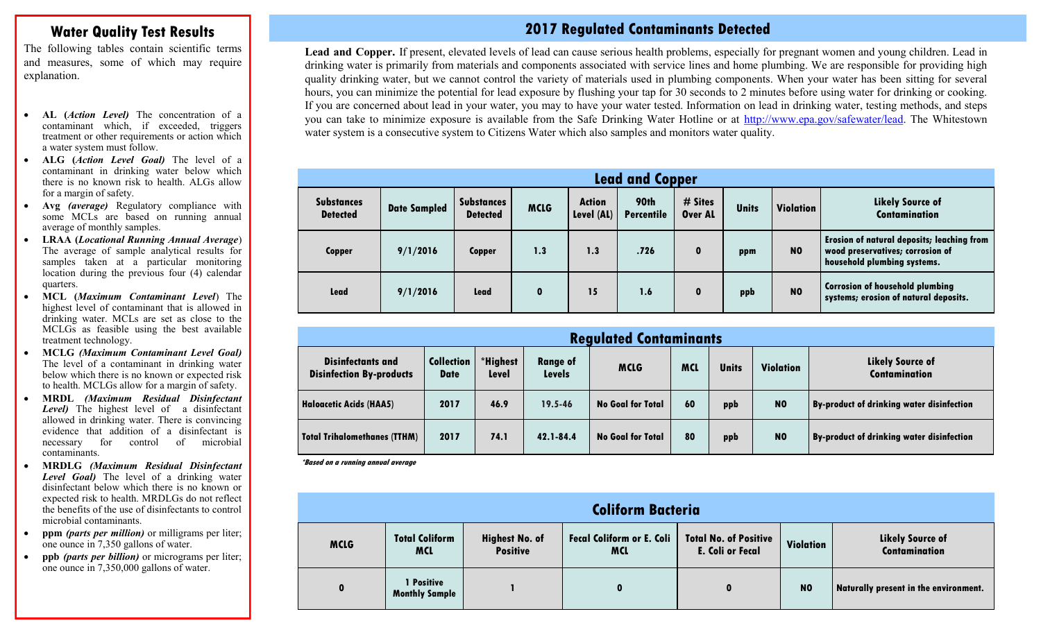#### **Water Quality Test Results**

The following tables contain scientific terms and measures, some of which may require explanation.

- **AL (***Action Level)* The concentration of a contaminant which, if exceeded, triggers treatment or other requirements or action which a water system must follow.
- **ALG (***Action Level Goal)* The level of a contaminant in drinking water below which there is no known risk to health. ALGs allow for a margin of safety.
- **Avg** *(average)* Regulatory compliance with some MCLs are based on running annual average of monthly samples.
- **LRAA (***Locational Running Annual Average*) The average of sample analytical results for samples taken at a particular monitoring location during the previous four (4) calendar quarters.
- **MCL (***Maximum Contaminant Level*) The highest level of contaminant that is allowed in drinking water. MCLs are set as close to the MCLGs as feasible using the best available treatment technology.
- **MCLG** *(Maximum Contaminant Level Goal)* The level of a contaminant in drinking water below which there is no known or expected risk to health. MCLGs allow for a margin of safety.
- **MRDL** *(Maximum Residual Disinfectant Level)* The highest level of a disinfectant allowed in drinking water. There is convincing evidence that addition of a disinfectant is necessary for control of microbial contaminants.
- **MRDLG** *(Maximum Residual Disinfectant Level Goal)* The level of a drinking water disinfectant below which there is no known or expected risk to health. MRDLGs do not reflect the benefits of the use of disinfectants to control microbial contaminants.
- **ppm** *(parts per million)* or milligrams per liter; one ounce in 7,350 gallons of water.
- **ppb** *(parts per billion)* or micrograms per liter; one ounce in 7,350,000 gallons of water.

### **2017 Regulated Contaminants Detected**

**Lead and Copper.** If present, elevated levels of lead can cause serious health problems, especially for pregnant women and young children. Lead in drinking water is primarily from materials and components associated with service lines and home plumbing. We are responsible for providing high quality drinking water, but we cannot control the variety of materials used in plumbing components. When your water has been sitting for several hours, you can minimize the potential for lead exposure by flushing your tap for 30 seconds to 2 minutes before using water for drinking or cooking. If you are concerned about lead in your water, you may to have your water tested. Information on lead in drinking water, testing methods, and steps you can take to minimize exposure is available from the Safe Drinking Water Hotline or at http://www.epa.gov/safewater/lead. The Whitestown water system is a consecutive system to Citizens Water which also samples and monitors water quality.

| <b>Lead and Copper</b>               |                     |                                      |             |                             |                           |                    |              |                  |                                                                                                                      |  |
|--------------------------------------|---------------------|--------------------------------------|-------------|-----------------------------|---------------------------|--------------------|--------------|------------------|----------------------------------------------------------------------------------------------------------------------|--|
| <b>Substances</b><br><b>Detected</b> | <b>Date Sampled</b> | <b>Substances</b><br><b>Detected</b> | <b>MCLG</b> | <b>Action</b><br>Level (AL) | 90th<br><b>Percentile</b> | # Sites<br>Over AL | <b>Units</b> | <b>Violation</b> | <b>Likely Source of</b><br><b>Contamination</b>                                                                      |  |
| <b>Copper</b>                        | 9/1/2016            | <b>Copper</b>                        | 1.3         | 1.3                         | .726                      | $\mathbf{0}$       | ppm          | N <sub>0</sub>   | <b>Erosion of natural deposits; leaching from</b><br>wood preservatives; corrosion of<br>household plumbing systems. |  |
| Lead                                 | 9/1/2016            | Lead                                 | $\mathbf 0$ | 15                          | 1.6                       | $\mathbf{0}$       | ppb          | N <sub>0</sub>   | <b>Corrosion of household plumbing</b><br>systems; erosion of natural deposits.                                      |  |

| <b>Regulated Contaminants</b>                               |                                  |                                                                      |             |                          |              |           |                                                 |                                                  |  |  |  |
|-------------------------------------------------------------|----------------------------------|----------------------------------------------------------------------|-------------|--------------------------|--------------|-----------|-------------------------------------------------|--------------------------------------------------|--|--|--|
| <b>Disinfectants and</b><br><b>Disinfection By-products</b> | <b>Collection</b><br><b>Date</b> | *Highest<br><b>Range of</b><br><b>MCLG</b><br>Level<br><b>Levels</b> |             | <b>MCL</b>               | <b>Units</b> | Violation | <b>Likely Source of</b><br><b>Contamination</b> |                                                  |  |  |  |
| Haloacetic Acids (HAA5)                                     | 2017                             | 46.9                                                                 | $19.5 - 46$ | <b>No Goal for Total</b> | 60           | ppb       | N <sub>0</sub>                                  | <b>By-product of drinking water disinfection</b> |  |  |  |
| Total Trihalomethanes (TTHM)                                | 2017                             | 74.1                                                                 | 42.1-84.4   | <b>No Goal for Total</b> | 80           | ppb       | N <sub>0</sub>                                  | By-product of drinking water disinfection        |  |  |  |

**\*Based on a running annual average**

| <b>Coliform Bacteria</b> |                                     |                                          |                                                |                                                         |                |                                                 |  |  |  |  |
|--------------------------|-------------------------------------|------------------------------------------|------------------------------------------------|---------------------------------------------------------|----------------|-------------------------------------------------|--|--|--|--|
| <b>MCLG</b>              | <b>Total Coliform</b><br><b>MCL</b> | <b>Highest No. of</b><br><b>Positive</b> | <b>Fecal Coliform or E. Coli</b><br><b>MCL</b> | <b>Total No. of Positive</b><br><b>E. Coli or Fecal</b> | Violation      | <b>Likely Source of</b><br><b>Contamination</b> |  |  |  |  |
| $\mathbf 0$              | 1 Positive<br><b>Monthly Sample</b> |                                          | 0                                              | $\mathbf{0}$                                            | N <sub>0</sub> | Naturally present in the environment.           |  |  |  |  |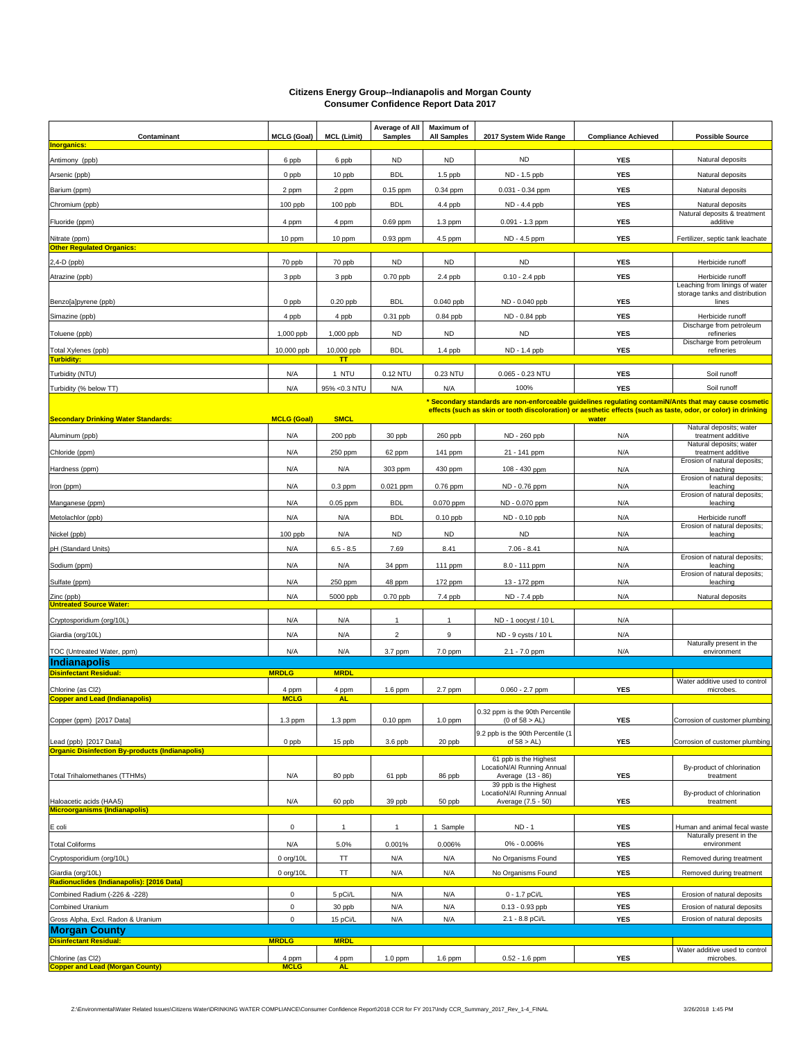#### **Citizens Energy Group--Indianapolis and Morgan County Consumer Confidence Report Data 2017**

| Contaminant                                                                      | <b>MCLG (Goal)</b>   | <b>MCL (Limit)</b>      | Average of All<br><b>Samples</b> | Maximum of<br><b>All Samples</b> | 2017 System Wide Range                                                                                         | <b>Compliance Achieved</b> | <b>Possible Source</b>                             |
|----------------------------------------------------------------------------------|----------------------|-------------------------|----------------------------------|----------------------------------|----------------------------------------------------------------------------------------------------------------|----------------------------|----------------------------------------------------|
| <b>Inorganics:</b>                                                               |                      |                         |                                  |                                  |                                                                                                                |                            |                                                    |
| Antimony (ppb)                                                                   | 6 ppb                | 6 ppb                   | <b>ND</b>                        | <b>ND</b>                        | <b>ND</b>                                                                                                      | <b>YES</b>                 | Natural deposits                                   |
| Arsenic (ppb)                                                                    | 0 ppb                | 10 ppb                  | <b>BDL</b>                       | $1.5$ ppb                        | ND - 1.5 ppb                                                                                                   | <b>YES</b>                 | Natural deposits                                   |
| Barium (ppm)                                                                     | 2 ppm                | 2 ppm                   | 0.15 ppm                         | 0.34 ppm                         | $0.031 - 0.34$ ppm                                                                                             | <b>YES</b>                 | Natural deposits                                   |
| Chromium (ppb)                                                                   | 100 ppb              | 100 ppb                 | <b>BDL</b>                       | 4.4 ppb                          | ND - 4.4 ppb                                                                                                   | <b>YES</b>                 | Natural deposits                                   |
| Fluoride (ppm)                                                                   | 4 ppm                | 4 ppm                   | 0.69 ppm                         | 1.3 ppm                          | 0.091 - 1.3 ppm                                                                                                | <b>YES</b>                 | Natural deposits & treatment<br>additive           |
| Nitrate (ppm)                                                                    | 10 ppm               | 10 ppm                  | 0.93 ppm                         | 4.5 ppm                          | ND - 4.5 ppm                                                                                                   | <b>YES</b>                 | Fertilizer, septic tank leachate                   |
| <b>Other Regulated Organics:</b>                                                 |                      |                         |                                  |                                  |                                                                                                                |                            |                                                    |
| 2,4-D (ppb)                                                                      | 70 ppb               | 70 ppb                  | <b>ND</b>                        | <b>ND</b>                        | <b>ND</b>                                                                                                      | <b>YES</b>                 | Herbicide runoff                                   |
| Atrazine (ppb)                                                                   | 3 ppb                | 3 ppb                   | 0.70 ppb                         | 2.4 ppb                          | $0.10 - 2.4$ ppb                                                                                               | <b>YES</b>                 | Herbicide runoff<br>Leaching from linings of water |
| Benzo[a]pyrene (ppb)                                                             | 0 ppb                | $0.20$ ppb              | <b>BDL</b>                       | $0.040$ ppb                      | ND - 0.040 ppb                                                                                                 | <b>YES</b>                 | storage tanks and distribution<br>lines            |
| Simazine (ppb)                                                                   | 4 ppb                | 4 ppb                   | 0.31 ppb                         | 0.84 ppb                         | ND - 0.84 ppb                                                                                                  | <b>YES</b>                 | Herbicide runoff                                   |
|                                                                                  |                      |                         |                                  |                                  |                                                                                                                |                            | Discharge from petroleum                           |
| Toluene (ppb)                                                                    | 1,000 ppb            | 1,000 ppb               | <b>ND</b>                        | <b>ND</b>                        | ND                                                                                                             | <b>YES</b>                 | refineries<br>Discharge from petroleum             |
| Total Xylenes (ppb)<br><b>Turbidity:</b>                                         | 10,000 ppb           | 10,000 ppb<br><b>TT</b> | <b>BDL</b>                       | 1.4 ppb                          | ND - 1.4 ppb                                                                                                   | <b>YES</b>                 | refineries                                         |
| Turbidity (NTU)                                                                  | N/A                  | 1 NTU                   | 0.12 NTU                         | 0.23 NTU                         | $0.065 - 0.23$ NTU                                                                                             | <b>YES</b>                 | Soil runoff                                        |
| Turbidity (% below TT)                                                           | N/A                  | 95% < 0.3 NTU           | N/A                              | N/A                              | 100%                                                                                                           | <b>YES</b>                 | Soil runoff                                        |
|                                                                                  |                      |                         |                                  |                                  | Secondary standards are non-enforceable guidelines regulating contamiN/Ants that may cause cosmetic ***        |                            |                                                    |
| <b>Secondary Drinking Water Standards:</b>                                       | <b>MCLG (Goal)</b>   | <b>SMCL</b>             |                                  |                                  | effects (such as skin or tooth discoloration) or aesthetic effects (such as taste, odor, or color) in drinking | water                      |                                                    |
| Aluminum (ppb)                                                                   | N/A                  | 200 ppb                 | 30 ppb                           | 260 ppb                          | ND - 260 ppb                                                                                                   | N/A                        | Natural deposits; water<br>treatment additive      |
| Chloride (ppm)                                                                   | N/A                  | 250 ppm                 | 62 ppm                           | 141 ppm                          | 21 - 141 ppm                                                                                                   | N/A                        | Natural deposits; water<br>treatment additive      |
| Hardness (ppm)                                                                   | N/A                  | N/A                     | 303 ppm                          | 430 ppm                          | 108 - 430 ppm                                                                                                  | N/A                        | Erosion of natural deposits;<br>leaching           |
| Iron (ppm)                                                                       | N/A                  | $0.3$ ppm               | 0.021 ppm                        | 0.76 ppm                         | ND - 0.76 ppm                                                                                                  | N/A                        | Erosion of natural deposits;<br>leaching           |
| Manganese (ppm)                                                                  | N/A                  | $0.05$ ppm              | <b>BDL</b>                       | 0.070 ppm                        | ND - 0.070 ppm                                                                                                 | N/A                        | Erosion of natural deposits;<br>leaching           |
| Metolachlor (ppb)                                                                | N/A                  | N/A                     | <b>BDL</b>                       | $0.10$ ppb                       | ND - 0.10 ppb                                                                                                  | N/A                        | Herbicide runoff                                   |
|                                                                                  | 100 ppb              | N/A                     | <b>ND</b>                        | <b>ND</b>                        | <b>ND</b>                                                                                                      | N/A                        | Erosion of natural deposits;<br>leaching           |
| Nickel (ppb)<br>pH (Standard Units)                                              | N/A                  | $6.5 - 8.5$             | 7.69                             | 8.41                             | $7.06 - 8.41$                                                                                                  | N/A                        |                                                    |
|                                                                                  |                      |                         |                                  |                                  |                                                                                                                |                            | Erosion of natural deposits;                       |
| Sodium (ppm)                                                                     | N/A                  | N/A                     | 34 ppm                           | 111 ppm                          | 8.0 - 111 ppm                                                                                                  | N/A                        | leaching<br>Erosion of natural deposits;           |
| Sulfate (ppm)                                                                    | N/A                  | 250 ppm                 | 48 ppm                           | 172 ppm                          | 13 - 172 ppm                                                                                                   | N/A                        | leaching                                           |
| Zinc (ppb)<br><b>Untreated Source Water:</b>                                     | N/A                  | 5000 ppb                | 0.70 ppb                         | 7.4 ppb                          | ND - 7.4 ppb                                                                                                   | N/A                        | Natural deposits                                   |
| Cryptosporidium (org/10L)                                                        | N/A                  | N/A                     | 1                                | 1                                | ND - 1 oocyst / 10 L                                                                                           | N/A                        |                                                    |
| Giardia (org/10L)                                                                | N/A                  | N/A                     | $\overline{2}$                   | 9                                | ND - 9 cysts / 10 L                                                                                            | N/A                        |                                                    |
| TOC (Untreated Water, ppm)                                                       | N/A                  | N/A                     | 3.7 ppm                          | 7.0 ppm                          | $2.1 - 7.0$ ppm                                                                                                | N/A                        | Naturally present in the<br>environment            |
| <b>Indianapolis</b>                                                              |                      |                         |                                  |                                  |                                                                                                                |                            |                                                    |
| <b>Disinfectant Residual:</b>                                                    | <b>MRDLG</b>         | <b>MRDL</b>             |                                  |                                  |                                                                                                                |                            | Water additive used to control                     |
| Chlorine (as Cl2)                                                                | 4 ppm<br><b>MCLG</b> | 4 ppm                   | $1.6$ ppm                        | 2.7 ppm                          | $0.060 - 2.7$ ppm                                                                                              | <b>YES</b>                 | microbes.                                          |
| <b>Copper and Lead (Indianapolis)</b>                                            |                      | <b>AL</b>               |                                  |                                  | 0.32 ppm is the 90th Percentile<br>$(0 \text{ of } 58 > AL)$                                                   |                            | Corrosion of customer plumbing                     |
| Copper (ppm) [2017 Data]                                                         | 1.3 ppm              | 1.3 ppm                 | 0.10 ppm                         | 1.0 ppm                          | 9.2 ppb is the 90th Percentile (1                                                                              | <b>YES</b>                 |                                                    |
| Lead (ppb) [2017 Data]<br><b>Organic Disinfection By-products (Indianapolis)</b> | 0 ppb                | 15 ppb                  | 3.6 ppb                          | 20 ppb                           | of $58 > AL$ )                                                                                                 | <b>YES</b>                 | Corrosion of customer plumbing                     |
| <b>Total Trihalomethanes (TTHMs)</b>                                             | N/A                  | 80 ppb                  | 61 ppb                           | 86 ppb                           | 61 ppb is the Highest<br>LocatioN/Al Running Annual<br>Average (13 - 86)                                       | <b>YES</b>                 | By-product of chlorination<br>treatment            |
|                                                                                  |                      |                         |                                  |                                  | 39 ppb is the Highest<br>LocatioN/Al Running Annual                                                            |                            | By-product of chlorination                         |
| Haloacetic acids (HAA5)<br><b>Microorganisms (Indianapolis)</b>                  | N/A                  | 60 ppb                  | 39 ppb                           | 50 ppb                           | Average (7.5 - 50)                                                                                             | YES                        | treatment                                          |
| E coli                                                                           | 0                    | $\mathbf{1}$            | $\mathbf{1}$                     | 1 Sample                         | ND - 1                                                                                                         | <b>YES</b>                 | Human and animal fecal waste                       |
| <b>Total Coliforms</b>                                                           | N/A                  | 5.0%                    | 0.001%                           | 0.006%                           | 0% - 0.006%                                                                                                    | <b>YES</b>                 | Naturally present in the<br>environment            |
| Cryptosporidium (org/10L)                                                        | 0 org/10L            | TΤ                      | N/A                              | N/A                              | No Organisms Found                                                                                             | <b>YES</b>                 | Removed during treatment                           |
| Giardia (org/10L)                                                                | 0 org/10L            | TT                      | N/A                              | N/A                              | No Organisms Found                                                                                             | <b>YES</b>                 | Removed during treatment                           |
| Radionuclides (Indianapolis): [2016 Data]<br>Combined Radium (-226 & -228)       | $\mathsf 0$          | 5 pCi/L                 | N/A                              | N/A                              | 0 - 1.7 pCi/L                                                                                                  | <b>YES</b>                 | Erosion of natural deposits                        |
| Combined Uranium                                                                 | $\mathbf 0$          | 30 ppb                  | N/A                              | N/A                              | $0.13 - 0.93$ ppb                                                                                              | <b>YES</b>                 | Erosion of natural deposits                        |
| Gross Alpha, Excl. Radon & Uranium                                               | $\mathsf 0$          | 15 pCi/L                | N/A                              | N/A                              | 2.1 - 8.8 pCi/L                                                                                                | YES                        | Erosion of natural deposits                        |
| <b>Morgan County</b>                                                             |                      |                         |                                  |                                  |                                                                                                                |                            |                                                    |
| <b>Disinfectant Residual:</b>                                                    | <b>MRDLG</b>         | <b>MRDL</b>             |                                  |                                  |                                                                                                                |                            | Water additive used to control                     |
| Chlorine (as Cl2)<br><b>Copper and Lead (Morgan County)</b>                      | 4 ppm<br><b>MCLG</b> | 4 ppm<br><b>AL</b>      | 1.0 ppm                          | 1.6 ppm                          | $0.52 - 1.6$ ppm                                                                                               | <b>YES</b>                 | microbes.                                          |